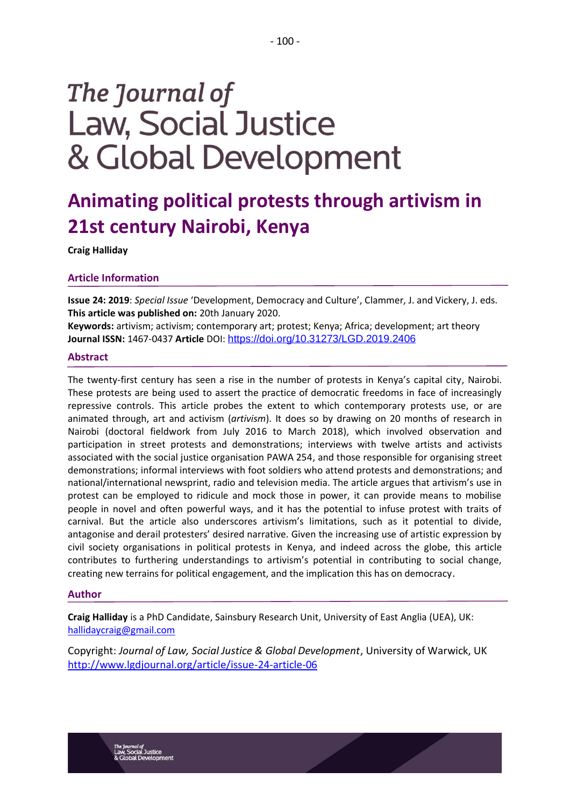# The Journal of **Law, Social Justice** & Global Development

# **Animating political protests through artivism in 21st century Nairobi, Kenya**

**Craig Halliday**

# **Article Information**

**Issue 24: 2019**: *Special Issue* 'Development, Democracy and Culture', Clammer, J. and Vickery, J. eds. **This article was published on:** 20th January 2020.

**Keywords:** artivism; activism; contemporary art; protest; Kenya; Africa; development; art theory **Journal ISSN:** 1467-0437 **Article** DOI: <https://doi.org/10.31273/LGD.2019.2406>

# **Abstract**

The twenty-first century has seen a rise in the number of protests in Kenya's capital city, Nairobi. These protests are being used to assert the practice of democratic freedoms in face of increasingly repressive controls. This article probes the extent to which contemporary protests use, or are animated through, art and activism (*artivism*). It does so by drawing on 20 months of research in Nairobi (doctoral fieldwork from July 2016 to March 2018), which involved observation and participation in street protests and demonstrations; interviews with twelve artists and activists associated with the social justice organisation PAWA 254, and those responsible for organising street demonstrations; informal interviews with foot soldiers who attend protests and demonstrations; and national/international newsprint, radio and television media. The article argues that artivism's use in protest can be employed to ridicule and mock those in power, it can provide means to mobilise people in novel and often powerful ways, and it has the potential to infuse protest with traits of carnival. But the article also underscores artivism's limitations, such as it potential to divide, antagonise and derail protesters' desired narrative. Given the increasing use of artistic expression by civil society organisations in political protests in Kenya, and indeed across the globe, this article contributes to furthering understandings to artivism's potential in contributing to social change, creating new terrains for political engagement, and the implication this has on democracy.

# **Author**

**Craig Halliday** is a PhD Candidate, Sainsbury Research Unit, University of East Anglia (UEA), UK: [hallidaycraig@gmail.com](mailto:hallidaycraig@gmail.com)

Copyright: *Journal of Law, Social Justice & Global Development*, University of Warwick, UK <http://www.lgdjournal.org/article/issue-24-article-06>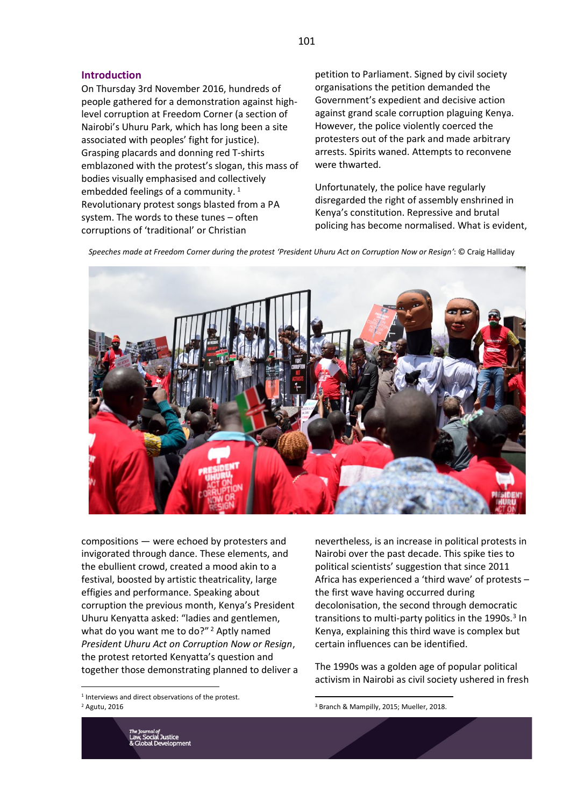# **Introduction**

On Thursday 3rd November 2016, hundreds of people gathered for a demonstration against highlevel corruption at Freedom Corner (a section of Nairobi's Uhuru Park, which has long been a site associated with peoples' fight for justice). Grasping placards and donning red T-shirts emblazoned with the protest's slogan, this mass of bodies visually emphasised and collectively embedded feelings of a community.<sup>1</sup> Revolutionary protest songs blasted from a PA system. The words to these tunes – often corruptions of 'traditional' or Christian

petition to Parliament. Signed by civil society organisations the petition demanded the Government's expedient and decisive action against grand scale corruption plaguing Kenya. However, the police violently coerced the protesters out of the park and made arbitrary arrests. Spirits waned. Attempts to reconvene were thwarted.

Unfortunately, the police have regularly disregarded the right of assembly enshrined in Kenya's constitution. Repressive and brutal policing has become normalised. What is evident,

*Speeches made at Freedom Corner during the protest 'President Uhuru Act on Corruption Now or Resign'*: © Craig Halliday



compositions — were echoed by protesters and invigorated through dance. These elements, and the ebullient crowd, created a mood akin to a festival, boosted by artistic theatricality, large effigies and performance. Speaking about corruption the previous month, Kenya's President Uhuru Kenyatta asked: "ladies and gentlemen, what do you want me to do?"<sup>2</sup> Aptly named *President Uhuru Act on Corruption Now or Resign*, the protest retorted Kenyatta's question and together those demonstrating planned to deliver a

1 Interviews and direct observations of the protest. <sup>2</sup> Agutu, 2016

nevertheless, is an increase in political protests in Nairobi over the past decade. This spike ties to political scientists' suggestion that since 2011 Africa has experienced a 'third wave' of protests – the first wave having occurred during decolonisation, the second through democratic transitions to multi-party politics in the 1990s.<sup>3</sup> In Kenya, explaining this third wave is complex but certain influences can be identified.

The 1990s was a golden age of popular political activism in Nairobi as civil society ushered in fresh



<sup>3</sup> Branch & Mampilly, 2015; Mueller, 2018.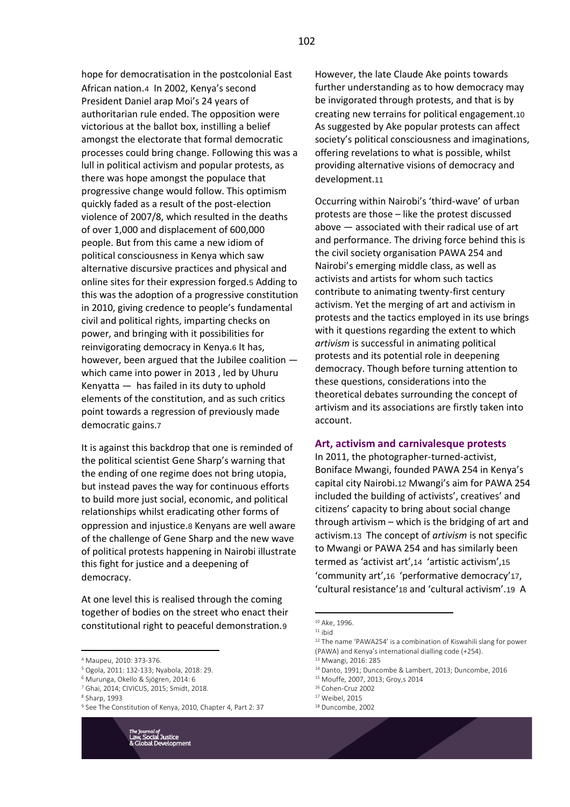hope for democratisation in the postcolonial East African nation.4 In 2002, Kenya's second President Daniel arap Moi's 24 years of authoritarian rule ended. The opposition were victorious at the ballot box, instilling a belief amongst the electorate that formal democratic processes could bring change. Following this was a lull in political activism and popular protests, as there was hope amongst the populace that progressive change would follow. This optimism quickly faded as a result of the post-election violence of 2007/8, which resulted in the deaths of over 1,000 and displacement of 600,000 people. But from this came a new idiom of political consciousness in Kenya which saw alternative discursive practices and physical and online sites for their expression forged.5 Adding to this was the adoption of a progressive constitution in 2010, giving credence to people's fundamental civil and political rights, imparting checks on power, and bringing with it possibilities for reinvigorating democracy in Kenya.6 It has, however, been argued that the Jubilee coalition which came into power in 2013 , led by Uhuru Kenyatta — has failed in its duty to uphold elements of the constitution, and as such critics point towards a regression of previously made democratic gains.7

It is against this backdrop that one is reminded of the political scientist Gene Sharp's warning that the ending of one regime does not bring utopia, but instead paves the way for continuous efforts to build more just social, economic, and political relationships whilst eradicating other forms of oppression and injustice.8 Kenyans are well aware of the challenge of Gene Sharp and the new wave of political protests happening in Nairobi illustrate this fight for justice and a deepening of democracy.

At one level this is realised through the coming together of bodies on the street who enact their constitutional right to peaceful demonstration.9

<sup>9</sup> See The Constitution of Kenya, 2010, Chapter 4, Part 2: 37



However, the late Claude Ake points towards further understanding as to how democracy may be invigorated through protests, and that is by creating new terrains for political engagement.10 As suggested by Ake popular protests can affect society's political consciousness and imaginations, offering revelations to what is possible, whilst providing alternative visions of democracy and development.11

Occurring within Nairobi's 'third-wave' of urban protests are those – like the protest discussed above — associated with their radical use of art and performance. The driving force behind this is the civil society organisation PAWA 254 and Nairobi's emerging middle class, as well as activists and artists for whom such tactics contribute to animating twenty-first century activism. Yet the merging of art and activism in protests and the tactics employed in its use brings with it questions regarding the extent to which *artivism* is successful in animating political protests and its potential role in deepening democracy. Though before turning attention to these questions, considerations into the theoretical debates surrounding the concept of artivism and its associations are firstly taken into account.

#### **Art, activism and carnivalesque protests**

In 2011, the photographer-turned-activist, Boniface Mwangi, founded PAWA 254 in Kenya's capital city Nairobi.12 Mwangi's aim for PAWA 254 included the building of activists', creatives' and citizens' capacity to bring about social change through artivism – which is the bridging of art and activism.13 The concept of *artivism* is not specific to Mwangi or PAWA 254 and has similarly been termed as 'activist art',14 'artistic activism',15 'community art',16 'performative democracy'17, 'cultural resistance'18 and 'cultural activism'.19 A

<sup>14</sup> Danto, 1991; Duncombe & Lambert, 2013; Duncombe, 2016

- <sup>16</sup> Cohen-Cruz 2002
- <sup>17</sup> Weibel, 2015

<sup>4</sup> Maupeu, 2010: 373-376.

<sup>5</sup> Ogola, 2011: 132-133; Nyabola, 2018: 29.

<sup>6</sup> Murunga, Okello & Sjögren, 2014: 6

<sup>7</sup> Ghai, 2014; CIVICUS, 2015; Smidt, 2018.

<sup>8</sup> Sharp, 1993

<sup>10</sup> Ake, 1996.  $11$  ibid

<sup>&</sup>lt;sup>12</sup> The name 'PAWA254' is a combination of Kiswahili slang for power (PAWA) and Kenya's international dialling code (+254).

<sup>13</sup> Mwangi, 2016: 285

<sup>15</sup> Mouffe, 2007, 2013; Groy,s 2014

<sup>18</sup> Duncombe, 2002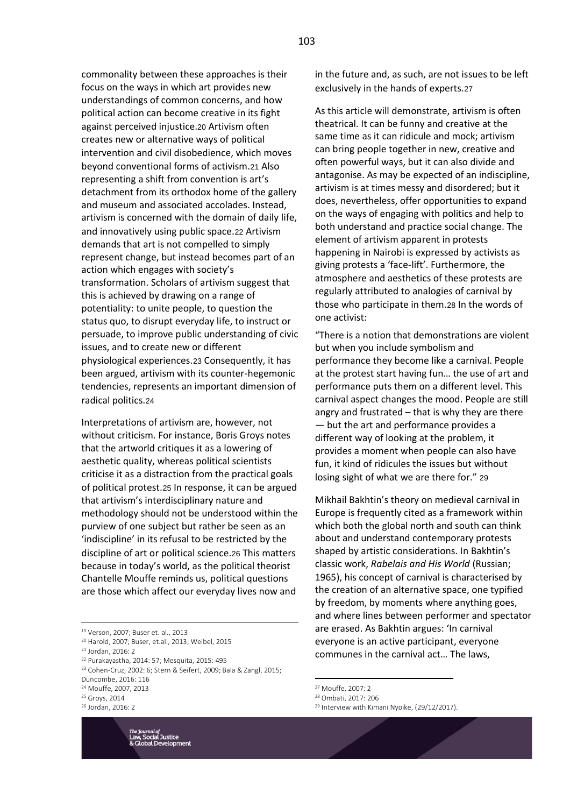commonality between these approaches is their focus on the ways in which art provides new understandings of common concerns, and how political action can become creative in its fight against perceived injustice.20 Artivism often creates new or alternative ways of political intervention and civil disobedience, which moves beyond conventional forms of activism.21 Also representing a shift from convention is art's detachment from its orthodox home of the gallery and museum and associated accolades. Instead, artivism is concerned with the domain of daily life, and innovatively using public space.22 Artivism demands that art is not compelled to simply represent change, but instead becomes part of an action which engages with society's transformation. Scholars of artivism suggest that this is achieved by drawing on a range of potentiality: to unite people, to question the status quo, to disrupt everyday life, to instruct or persuade, to improve public understanding of civic issues, and to create new or different physiological experiences.23 Consequently, it has been argued, artivism with its counter-hegemonic tendencies, represents an important dimension of radical politics.24

Interpretations of artivism are, however, not without criticism. For instance, Boris Groys notes that the artworld critiques it as a lowering of aesthetic quality, whereas political scientists criticise it as a distraction from the practical goals of political protest.25 In response, it can be argued that artivism's interdisciplinary nature and methodology should not be understood within the purview of one subject but rather be seen as an 'indiscipline' in its refusal to be restricted by the discipline of art or political science.26 This matters because in today's world, as the political theorist Chantelle Mouffe reminds us, political questions are those which affect our everyday lives now and

<sup>24</sup> Mouffe, 2007, 2013

<sup>26</sup> Jordan, 2016: 2



in the future and, as such, are not issues to be left exclusively in the hands of experts.27

As this article will demonstrate, artivism is often theatrical. It can be funny and creative at the same time as it can ridicule and mock; artivism can bring people together in new, creative and often powerful ways, but it can also divide and antagonise. As may be expected of an indiscipline, artivism is at times messy and disordered; but it does, nevertheless, offer opportunities to expand on the ways of engaging with politics and help to both understand and practice social change. The element of artivism apparent in protests happening in Nairobi is expressed by activists as giving protests a 'face-lift'. Furthermore, the atmosphere and aesthetics of these protests are regularly attributed to analogies of carnival by those who participate in them.28 In the words of one activist:

"There is a notion that demonstrations are violent but when you include symbolism and performance they become like a carnival. People at the protest start having fun… the use of art and performance puts them on a different level. This carnival aspect changes the mood. People are still angry and frustrated – that is why they are there — but the art and performance provides a different way of looking at the problem, it provides a moment when people can also have fun, it kind of ridicules the issues but without losing sight of what we are there for." 29

Mikhail Bakhtin's theory on medieval carnival in Europe is frequently cited as a framework within which both the global north and south can think about and understand contemporary protests shaped by artistic considerations. In Bakhtin's classic work, *Rabelais and His World* (Russian; 1965), his concept of carnival is characterised by the creation of an alternative space, one typified by freedom, by moments where anything goes, and where lines between performer and spectator are erased. As Bakhtin argues: 'In carnival everyone is an active participant, everyone communes in the carnival act… The laws,

<sup>19</sup> Verson, 2007; Buser et. al., 2013

<sup>20</sup> Harold, 2007; Buser, et.al., 2013; Weibel, 2015

<sup>21</sup> Jordan, 2016: 2

<sup>22</sup> Purakayastha, 2014: 57; Mesquita, 2015: 495

<sup>23</sup> Cohen-Cruz, 2002: 6; Stern & Seifert, 2009; Bala & Zangl, 2015; Duncombe, 2016: 116

<sup>25</sup> Groys, 2014

<sup>27</sup> Mouffe, 2007: 2

<sup>28</sup> Ombati, 2017: 206

<sup>&</sup>lt;sup>29</sup> Interview with Kimani Nyoike, (29/12/2017).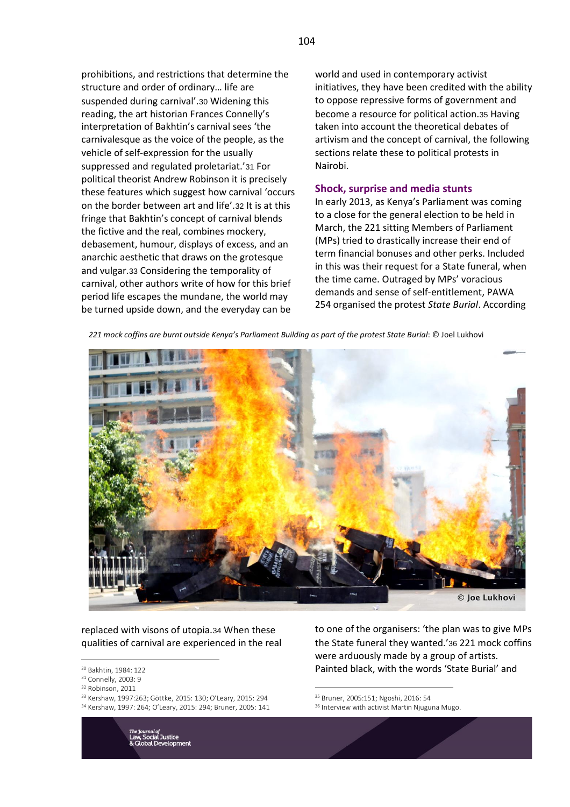prohibitions, and restrictions that determine the structure and order of ordinary… life are suspended during carnival'.30 Widening this reading, the art historian Frances Connelly's interpretation of Bakhtin's carnival sees 'the carnivalesque as the voice of the people, as the vehicle of self-expression for the usually suppressed and regulated proletariat.'31 For political theorist Andrew Robinson it is precisely these features which suggest how carnival 'occurs on the border between art and life'.32 It is at this fringe that Bakhtin's concept of carnival blends the fictive and the real, combines mockery, debasement, humour, displays of excess, and an anarchic aesthetic that draws on the grotesque and vulgar.33 Considering the temporality of carnival, other authors write of how for this brief period life escapes the mundane, the world may be turned upside down, and the everyday can be

world and used in contemporary activist initiatives, they have been credited with the ability to oppose repressive forms of government and become a resource for political action.35 Having taken into account the theoretical debates of artivism and the concept of carnival, the following sections relate these to political protests in Nairobi.

# **Shock, surprise and media stunts**

In early 2013, as Kenya's Parliament was coming to a close for the general election to be held in March, the 221 sitting Members of Parliament (MPs) tried to drastically increase their end of term financial bonuses and other perks. Included in this was their request for a State funeral, when the time came. Outraged by MPs' voracious demands and sense of self-entitlement, PAWA 254 organised the protest *State Burial*. According

*221 mock coffins are burnt outside Kenya's Parliament Building as part of the protest State Burial*: © Joel Lukhovi



replaced with visons of utopia.34 When these qualities of carnival are experienced in the real

- <sup>31</sup> Connelly, 2003: 9
- <sup>32</sup> Robinson, 2011
- <sup>33</sup> Kershaw, 1997:263; Göttke, 2015: 130; O'Leary, 2015: 294
- <sup>34</sup> Kershaw, 1997: 264; O'Leary, 2015: 294; Bruner, 2005: 141

to one of the organisers: 'the plan was to give MPs the State funeral they wanted.'36 221 mock coffins were arduously made by a group of artists. Painted black, with the words 'State Burial' and

<sup>35</sup> Bruner, 2005:151; Ngoshi, 2016: 54

<sup>30</sup> Bakhtin, 1984: 122

<sup>&</sup>lt;sup>36</sup> Interview with activist Martin Njuguna Mugo.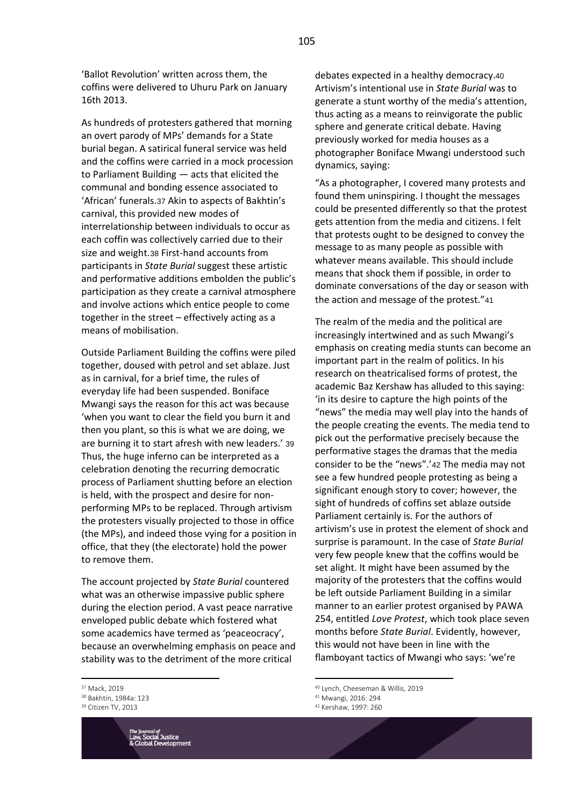'Ballot Revolution' written across them, the coffins were delivered to Uhuru Park on January 16th 2013.

As hundreds of protesters gathered that morning an overt parody of MPs' demands for a State burial began. A satirical funeral service was held and the coffins were carried in a mock procession to Parliament Building — acts that elicited the communal and bonding essence associated to 'African' funerals.37 Akin to aspects of Bakhtin's carnival, this provided new modes of interrelationship between individuals to occur as each coffin was collectively carried due to their size and weight.38 First-hand accounts from participants in *State Burial* suggest these artistic and performative additions embolden the public's participation as they create a carnival atmosphere and involve actions which entice people to come together in the street – effectively acting as a means of mobilisation.

Outside Parliament Building the coffins were piled together, doused with petrol and set ablaze. Just as in carnival, for a brief time, the rules of everyday life had been suspended. Boniface Mwangi says the reason for this act was because 'when you want to clear the field you burn it and then you plant, so this is what we are doing, we are burning it to start afresh with new leaders.' 39 Thus, the huge inferno can be interpreted as a celebration denoting the recurring democratic process of Parliament shutting before an election is held, with the prospect and desire for nonperforming MPs to be replaced. Through artivism the protesters visually projected to those in office (the MPs), and indeed those vying for a position in office, that they (the electorate) hold the power to remove them.

The account projected by *State Burial* countered what was an otherwise impassive public sphere during the election period. A vast peace narrative enveloped public debate which fostered what some academics have termed as 'peaceocracy', because an overwhelming emphasis on peace and stability was to the detriment of the more critical

<sup>37</sup> Mack, 2019

<sup>&</sup>lt;sup>39</sup> Citizen TV, 2013



debates expected in a healthy democracy.40 Artivism's intentional use in *State Burial* was to generate a stunt worthy of the media's attention, thus acting as a means to reinvigorate the public sphere and generate critical debate. Having previously worked for media houses as a photographer Boniface Mwangi understood such dynamics, saying:

"As a photographer, I covered many protests and found them uninspiring. I thought the messages could be presented differently so that the protest gets attention from the media and citizens. I felt that protests ought to be designed to convey the message to as many people as possible with whatever means available. This should include means that shock them if possible, in order to dominate conversations of the day or season with the action and message of the protest."41

The realm of the media and the political are increasingly intertwined and as such Mwangi's emphasis on creating media stunts can become an important part in the realm of politics. In his research on theatricalised forms of protest, the academic Baz Kershaw has alluded to this saying: 'in its desire to capture the high points of the "news" the media may well play into the hands of the people creating the events. The media tend to pick out the performative precisely because the performative stages the dramas that the media consider to be the "news".'42 The media may not see a few hundred people protesting as being a significant enough story to cover; however, the sight of hundreds of coffins set ablaze outside Parliament certainly is. For the authors of artivism's use in protest the element of shock and surprise is paramount. In the case of *State Burial* very few people knew that the coffins would be set alight. It might have been assumed by the majority of the protesters that the coffins would be left outside Parliament Building in a similar manner to an earlier protest organised by PAWA 254, entitled *Love Protest*, which took place seven months before *State Burial*. Evidently, however, this would not have been in line with the flamboyant tactics of Mwangi who says: 'we're

<sup>38</sup> Bakhtin, 1984a: 123

<sup>40</sup> Lynch, Cheeseman & Willis, 2019

<sup>41</sup> Mwangi, 2016: 294

<sup>42</sup> Kershaw, 1997: 260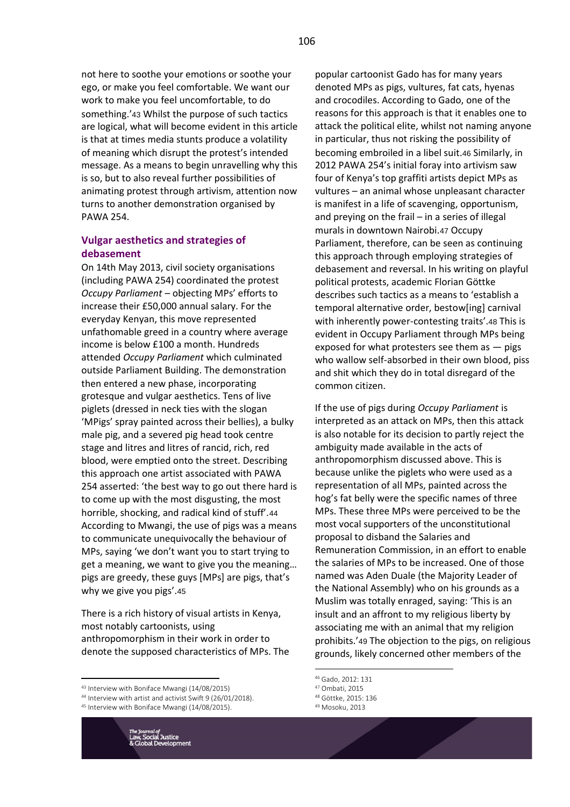not here to soothe your emotions or soothe your ego, or make you feel comfortable. We want our work to make you feel uncomfortable, to do something.'43 Whilst the purpose of such tactics are logical, what will become evident in this article is that at times media stunts produce a volatility of meaning which disrupt the protest's intended message. As a means to begin unravelling why this is so, but to also reveal further possibilities of animating protest through artivism, attention now turns to another demonstration organised by PAWA 254.

# **Vulgar aesthetics and strategies of debasement**

On 14th May 2013, civil society organisations (including PAWA 254) coordinated the protest *Occupy Parliament* – objecting MPs' efforts to increase their £50,000 annual salary. For the everyday Kenyan, this move represented unfathomable greed in a country where average income is below £100 a month. Hundreds attended *Occupy Parliament* which culminated outside Parliament Building. The demonstration then entered a new phase, incorporating grotesque and vulgar aesthetics. Tens of live piglets (dressed in neck ties with the slogan 'MPigs' spray painted across their bellies), a bulky male pig, and a severed pig head took centre stage and litres and litres of rancid, rich, red blood, were emptied onto the street. Describing this approach one artist associated with PAWA 254 asserted: 'the best way to go out there hard is to come up with the most disgusting, the most horrible, shocking, and radical kind of stuff'.44 According to Mwangi, the use of pigs was a means to communicate unequivocally the behaviour of MPs, saying 'we don't want you to start trying to get a meaning, we want to give you the meaning… pigs are greedy, these guys [MPs] are pigs, that's why we give you pigs'.45

There is a rich history of visual artists in Kenya, most notably cartoonists, using anthropomorphism in their work in order to denote the supposed characteristics of MPs. The

<sup>45</sup> Interview with Boniface Mwangi (14/08/2015).



popular cartoonist Gado has for many years denoted MPs as pigs, vultures, fat cats, hyenas and crocodiles. According to Gado, one of the reasons for this approach is that it enables one to attack the political elite, whilst not naming anyone in particular, thus not risking the possibility of becoming embroiled in a libel suit.46 Similarly, in 2012 PAWA 254's initial foray into artivism saw four of Kenya's top graffiti artists depict MPs as vultures – an animal whose unpleasant character is manifest in a life of scavenging, opportunism, and preying on the frail – in a series of illegal murals in downtown Nairobi.47 Occupy Parliament, therefore, can be seen as continuing this approach through employing strategies of debasement and reversal. In his writing on playful political protests, academic Florian Göttke describes such tactics as a means to 'establish a temporal alternative order, bestow[ing] carnival with inherently power-contesting traits'.48 This is evident in Occupy Parliament through MPs being exposed for what protesters see them as  $-$  pigs who wallow self-absorbed in their own blood, piss

If the use of pigs during *Occupy Parliament* is interpreted as an attack on MPs, then this attack is also notable for its decision to partly reject the ambiguity made available in the acts of anthropomorphism discussed above. This is because unlike the piglets who were used as a representation of all MPs, painted across the hog's fat belly were the specific names of three MPs. These three MPs were perceived to be the most vocal supporters of the unconstitutional proposal to disband the Salaries and Remuneration Commission, in an effort to enable the salaries of MPs to be increased. One of those named was Aden Duale (the Majority Leader of the National Assembly) who on his grounds as a Muslim was totally enraged, saying: 'This is an insult and an affront to my religious liberty by associating me with an animal that my religion prohibits.'49 The objection to the pigs, on religious grounds, likely concerned other members of the

and shit which they do in total disregard of the

common citizen.

- <sup>47</sup> Ombati, 2015
- <sup>48</sup> Göttke, 2015: 136
- <sup>49</sup> Mosoku, 2013

<sup>43</sup> Interview with Boniface Mwangi (14/08/2015)

<sup>44</sup> Interview with artist and activist Swift 9 (26/01/2018).

<sup>46</sup> Gado, 2012: 131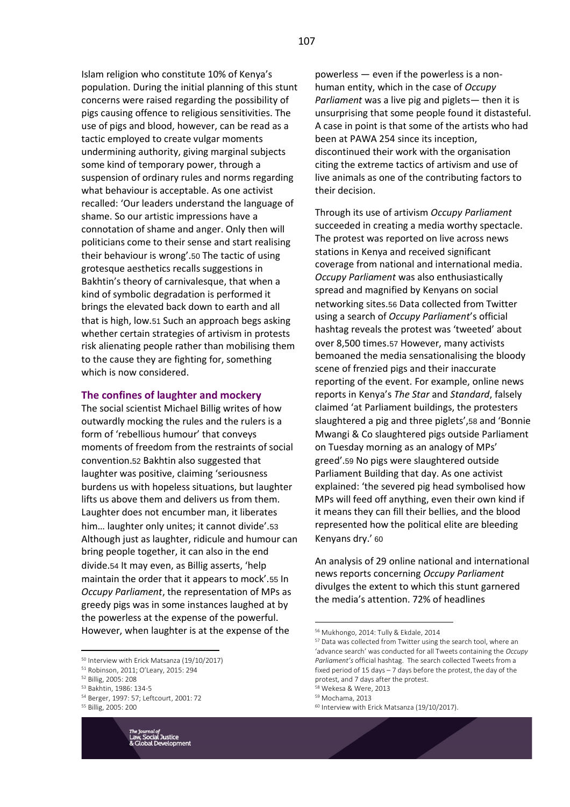Islam religion who constitute 10% of Kenya's population. During the initial planning of this stunt concerns were raised regarding the possibility of pigs causing offence to religious sensitivities. The use of pigs and blood, however, can be read as a tactic employed to create vulgar moments undermining authority, giving marginal subjects some kind of temporary power, through a suspension of ordinary rules and norms regarding what behaviour is acceptable. As one activist recalled: 'Our leaders understand the language of shame. So our artistic impressions have a connotation of shame and anger. Only then will politicians come to their sense and start realising their behaviour is wrong'.50 The tactic of using grotesque aesthetics recalls suggestions in Bakhtin's theory of carnivalesque, that when a kind of symbolic degradation is performed it brings the elevated back down to earth and all that is high, low.51 Such an approach begs asking whether certain strategies of artivism in protests risk alienating people rather than mobilising them to the cause they are fighting for, something which is now considered.

#### **The confines of laughter and mockery**

The social scientist Michael Billig writes of how outwardly mocking the rules and the rulers is a form of 'rebellious humour' that conveys moments of freedom from the restraints of social convention.52 Bakhtin also suggested that laughter was positive, claiming 'seriousness burdens us with hopeless situations, but laughter lifts us above them and delivers us from them. Laughter does not encumber man, it liberates him… laughter only unites; it cannot divide'.53 Although just as laughter, ridicule and humour can bring people together, it can also in the end divide.54 It may even, as Billig asserts, 'help maintain the order that it appears to mock'.55 In *Occupy Parliament*, the representation of MPs as greedy pigs was in some instances laughed at by the powerless at the expense of the powerful. However, when laughter is at the expense of the

- <sup>53</sup> Bakhtin, 1986: 134-5
- <sup>54</sup> Berger, 1997: 57; Leftcourt, 2001: 72



powerless — even if the powerless is a nonhuman entity, which in the case of *Occupy Parliament* was a live pig and piglets— then it is unsurprising that some people found it distasteful. A case in point is that some of the artists who had been at PAWA 254 since its inception, discontinued their work with the organisation citing the extreme tactics of artivism and use of live animals as one of the contributing factors to their decision.

Through its use of artivism *Occupy Parliament* succeeded in creating a media worthy spectacle. The protest was reported on live across news stations in Kenya and received significant coverage from national and international media. *Occupy Parliament* was also enthusiastically spread and magnified by Kenyans on social networking sites.56 Data collected from Twitter using a search of *Occupy Parliament*'s official hashtag reveals the protest was 'tweeted' about over 8,500 times.57 However, many activists bemoaned the media sensationalising the bloody scene of frenzied pigs and their inaccurate reporting of the event. For example, online news reports in Kenya's *The Star* and *Standard*, falsely claimed 'at Parliament buildings, the protesters slaughtered a pig and three piglets',58 and 'Bonnie Mwangi & Co slaughtered pigs outside Parliament on Tuesday morning as an analogy of MPs' greed'.59 No pigs were slaughtered outside Parliament Building that day. As one activist explained: 'the severed pig head symbolised how MPs will feed off anything, even their own kind if it means they can fill their bellies, and the blood represented how the political elite are bleeding Kenyans dry.' 60

An analysis of 29 online national and international news reports concerning *Occupy Parliament* divulges the extent to which this stunt garnered the media's attention. 72% of headlines

<sup>59</sup> Mochama, 2013



<sup>50</sup> Interview with Erick Matsanza (19/10/2017)

<sup>51</sup> Robinson, 2011; O'Leary, 2015: 294

<sup>52</sup> Billig, 2005: 208

<sup>55</sup> Billig, 2005: 200

<sup>56</sup> Mukhongo, 2014: Tully & Ekdale, 2014

<sup>57</sup> Data was collected from Twitter using the search tool, where an 'advance search' was conducted for all Tweets containing the *Occupy Parliament's* official hashtag. The search collected Tweets from a fixed period of 15 days – 7 days before the protest, the day of the protest, and 7 days after the protest.

<sup>58</sup> Wekesa & Were, 2013

<sup>60</sup> Interview with Erick Matsanza (19/10/2017).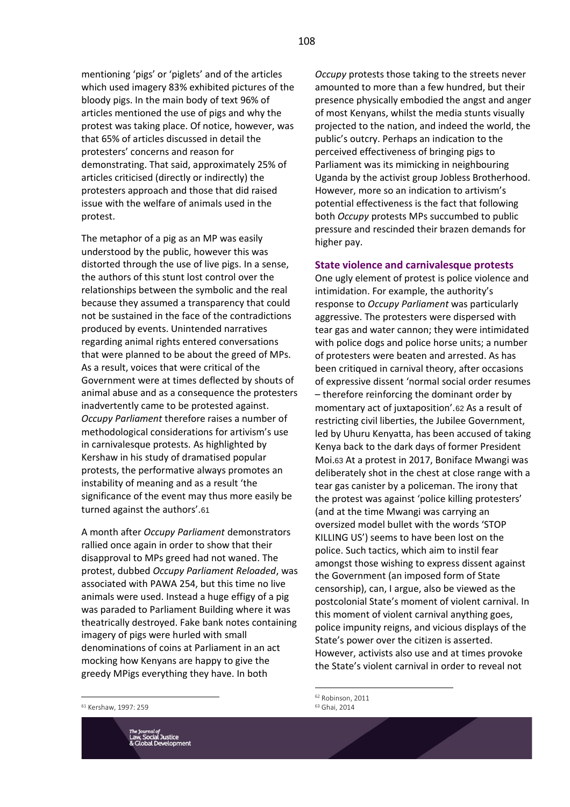mentioning 'pigs' or 'piglets' and of the articles which used imagery 83% exhibited pictures of the bloody pigs. In the main body of text 96% of articles mentioned the use of pigs and why the protest was taking place. Of notice, however, was that 65% of articles discussed in detail the protesters' concerns and reason for demonstrating. That said, approximately 25% of articles criticised (directly or indirectly) the protesters approach and those that did raised issue with the welfare of animals used in the protest.

The metaphor of a pig as an MP was easily understood by the public, however this was distorted through the use of live pigs. In a sense, the authors of this stunt lost control over the relationships between the symbolic and the real because they assumed a transparency that could not be sustained in the face of the contradictions produced by events. Unintended narratives regarding animal rights entered conversations that were planned to be about the greed of MPs. As a result, voices that were critical of the Government were at times deflected by shouts of animal abuse and as a consequence the protesters inadvertently came to be protested against. *Occupy Parliament* therefore raises a number of methodological considerations for artivism's use in carnivalesque protests. As highlighted by Kershaw in his study of dramatised popular protests, the performative always promotes an instability of meaning and as a result 'the significance of the event may thus more easily be turned against the authors'.61

A month after *Occupy Parliament* demonstrators rallied once again in order to show that their disapproval to MPs greed had not waned. The protest, dubbed *Occupy Parliament Reloaded*, was associated with PAWA 254, but this time no live animals were used. Instead a huge effigy of a pig was paraded to Parliament Building where it was theatrically destroyed. Fake bank notes containing imagery of pigs were hurled with small denominations of coins at Parliament in an act mocking how Kenyans are happy to give the greedy MPigs everything they have. In both

*Occupy* protests those taking to the streets never amounted to more than a few hundred, but their presence physically embodied the angst and anger of most Kenyans, whilst the media stunts visually projected to the nation, and indeed the world, the public's outcry. Perhaps an indication to the perceived effectiveness of bringing pigs to Parliament was its mimicking in neighbouring Uganda by the activist group Jobless Brotherhood. However, more so an indication to artivism's potential effectiveness is the fact that following both *Occupy* protests MPs succumbed to public pressure and rescinded their brazen demands for higher pay.

# **State violence and carnivalesque protests**

One ugly element of protest is police violence and intimidation. For example, the authority's response to *Occupy Parliament* was particularly aggressive. The protesters were dispersed with tear gas and water cannon; they were intimidated with police dogs and police horse units; a number of protesters were beaten and arrested. As has been critiqued in carnival theory, after occasions of expressive dissent 'normal social order resumes – therefore reinforcing the dominant order by momentary act of juxtaposition'.62 As a result of restricting civil liberties, the Jubilee Government, led by Uhuru Kenyatta, has been accused of taking Kenya back to the dark days of former President Moi.63 At a protest in 2017, Boniface Mwangi was deliberately shot in the chest at close range with a tear gas canister by a policeman. The irony that the protest was against 'police killing protesters' (and at the time Mwangi was carrying an oversized model bullet with the words 'STOP KILLING US') seems to have been lost on the police. Such tactics, which aim to instil fear amongst those wishing to express dissent against the Government (an imposed form of State censorship), can, I argue, also be viewed as the postcolonial State's moment of violent carnival. In this moment of violent carnival anything goes, police impunity reigns, and vicious displays of the State's power over the citizen is asserted. However, activists also use and at times provoke the State's violent carnival in order to reveal not

<sup>61</sup> Kershaw, 1997: 259



<sup>62</sup> Robinson, 2011 <sup>63</sup> Ghai, 2014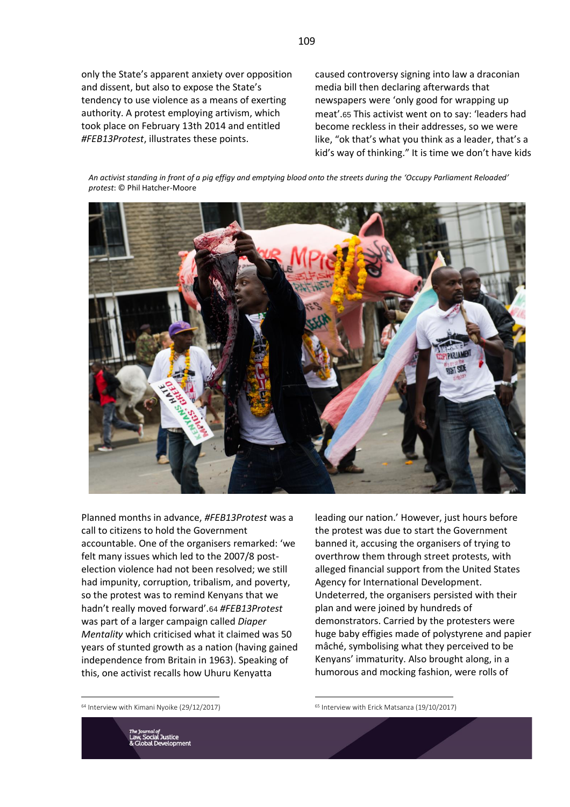only the State's apparent anxiety over opposition and dissent, but also to expose the State's tendency to use violence as a means of exerting authority. A protest employing artivism, which took place on February 13th 2014 and entitled *#FEB13Protest*, illustrates these points.

caused controversy signing into law a draconian media bill then declaring afterwards that newspapers were 'only good for wrapping up meat'.65 This activist went on to say: 'leaders had become reckless in their addresses, so we were like, "ok that's what you think as a leader, that's a kid's way of thinking." It is time we don't have kids

*An activist standing in front of a pig effigy and emptying blood onto the streets during the 'Occupy Parliament Reloaded' protest*: © Phil Hatcher-Moore



Planned months in advance, *#FEB13Protest* was a call to citizens to hold the Government accountable. One of the organisers remarked: 'we felt many issues which led to the 2007/8 postelection violence had not been resolved; we still had impunity, corruption, tribalism, and poverty, so the protest was to remind Kenyans that we hadn't really moved forward'.64 *#FEB13Protest* was part of a larger campaign called *Diaper Mentality* which criticised what it claimed was 50 years of stunted growth as a nation (having gained independence from Britain in 1963). Speaking of this, one activist recalls how Uhuru Kenyatta

leading our nation.' However, just hours before the protest was due to start the Government banned it, accusing the organisers of trying to overthrow them through street protests, with alleged financial support from the United States Agency for International Development. Undeterred, the organisers persisted with their plan and were joined by hundreds of demonstrators. Carried by the protesters were huge baby effigies made of polystyrene and papier mâché, symbolising what they perceived to be Kenyans' immaturity. Also brought along, in a humorous and mocking fashion, were rolls of

<sup>64</sup> Interview with Kimani Nyoike (29/12/2017)

<sup>65</sup> Interview with Erick Matsanza (19/10/2017)

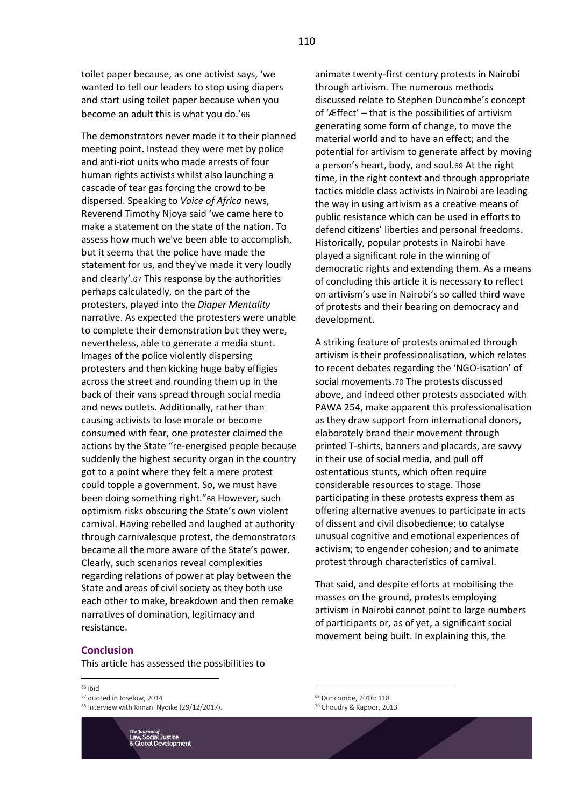toilet paper because, as one activist says, 'we wanted to tell our leaders to stop using diapers and start using toilet paper because when you become an adult this is what you do.'66

The demonstrators never made it to their planned meeting point. Instead they were met by police and anti-riot units who made arrests of four human rights activists whilst also launching a cascade of tear gas forcing the crowd to be dispersed. Speaking to *Voice of Africa* news, Reverend Timothy Njoya said 'we came here to make a statement on the state of the nation. To assess how much we've been able to accomplish, but it seems that the police have made the statement for us, and they've made it very loudly and clearly'.67 This response by the authorities perhaps calculatedly, on the part of the protesters, played into the *Diaper Mentality* narrative. As expected the protesters were unable to complete their demonstration but they were, nevertheless, able to generate a media stunt. Images of the police violently dispersing protesters and then kicking huge baby effigies across the street and rounding them up in the back of their vans spread through social media and news outlets. Additionally, rather than causing activists to lose morale or become consumed with fear, one protester claimed the actions by the State "re-energised people because suddenly the highest security organ in the country got to a point where they felt a mere protest could topple a government. So, we must have been doing something right."68 However, such optimism risks obscuring the State's own violent carnival. Having rebelled and laughed at authority through carnivalesque protest, the demonstrators became all the more aware of the State's power. Clearly, such scenarios reveal complexities regarding relations of power at play between the State and areas of civil society as they both use each other to make, breakdown and then remake narratives of domination, legitimacy and resistance.

#### **Conclusion**

This article has assessed the possibilities to

#### <sup>66</sup> ibid

<sup>67</sup> quoted in Joselow, 2014

<sup>68</sup> Interview with Kimani Nyoike (29/12/2017).



animate twenty-first century protests in Nairobi through artivism. The numerous methods discussed relate to Stephen Duncombe's concept of 'Æffect' – that is the possibilities of artivism generating some form of change, to move the material world and to have an effect; and the potential for artivism to generate affect by moving a person's heart, body, and soul.69 At the right time, in the right context and through appropriate tactics middle class activists in Nairobi are leading the way in using artivism as a creative means of public resistance which can be used in efforts to defend citizens' liberties and personal freedoms. Historically, popular protests in Nairobi have played a significant role in the winning of democratic rights and extending them. As a means of concluding this article it is necessary to reflect on artivism's use in Nairobi's so called third wave of protests and their bearing on democracy and development.

A striking feature of protests animated through artivism is their professionalisation, which relates to recent debates regarding the 'NGO-isation' of social movements.70 The protests discussed above, and indeed other protests associated with PAWA 254, make apparent this professionalisation as they draw support from international donors, elaborately brand their movement through printed T-shirts, banners and placards, are savvy in their use of social media, and pull off ostentatious stunts, which often require considerable resources to stage. Those participating in these protests express them as offering alternative avenues to participate in acts of dissent and civil disobedience; to catalyse unusual cognitive and emotional experiences of activism; to engender cohesion; and to animate protest through characteristics of carnival.

That said, and despite efforts at mobilising the masses on the ground, protests employing artivism in Nairobi cannot point to large numbers of participants or, as of yet, a significant social movement being built. In explaining this, the

110

<sup>69</sup> Duncombe, 2016: 118 <sup>70</sup> Choudry & Kapoor, 2013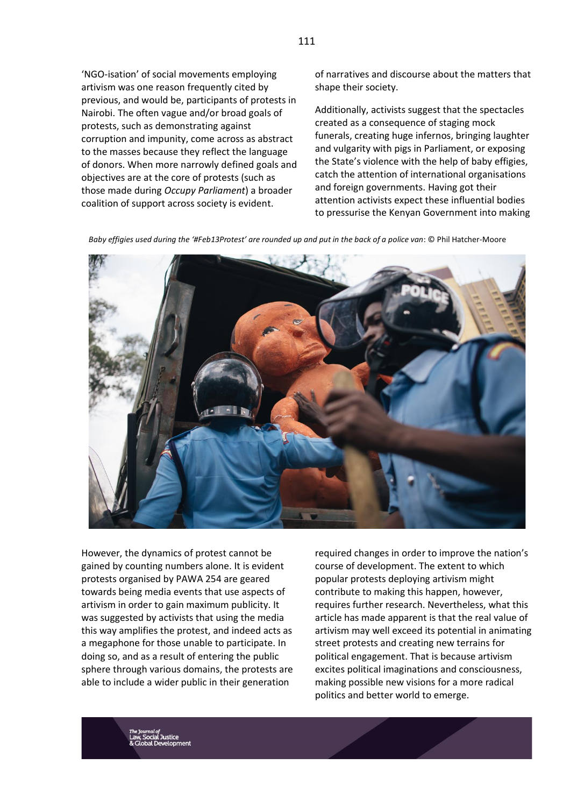'NGO-isation' of social movements employing artivism was one reason frequently cited by previous, and would be, participants of protests in Nairobi. The often vague and/or broad goals of protests, such as demonstrating against corruption and impunity, come across as abstract to the masses because they reflect the language of donors. When more narrowly defined goals and objectives are at the core of protests (such as those made during *Occupy Parliament*) a broader coalition of support across society is evident.

of narratives and discourse about the matters that shape their society.

Additionally, activists suggest that the spectacles created as a consequence of staging mock funerals, creating huge infernos, bringing laughter and vulgarity with pigs in Parliament, or exposing the State's violence with the help of baby effigies, catch the attention of international organisations and foreign governments. Having got their attention activists expect these influential bodies to pressurise the Kenyan Government into making

*Baby effigies used during the '#Feb13Protest' are rounded up and put in the back of a police van*: © Phil Hatcher-Moore



However, the dynamics of protest cannot be gained by counting numbers alone. It is evident protests organised by PAWA 254 are geared towards being media events that use aspects of artivism in order to gain maximum publicity. It was suggested by activists that using the media this way amplifies the protest, and indeed acts as a megaphone for those unable to participate. In doing so, and as a result of entering the public sphere through various domains, the protests are able to include a wider public in their generation

required changes in order to improve the nation's course of development. The extent to which popular protests deploying artivism might contribute to making this happen, however, requires further research. Nevertheless, what this article has made apparent is that the real value of artivism may well exceed its potential in animating street protests and creating new terrains for political engagement. That is because artivism excites political imaginations and consciousness, making possible new visions for a more radical politics and better world to emerge.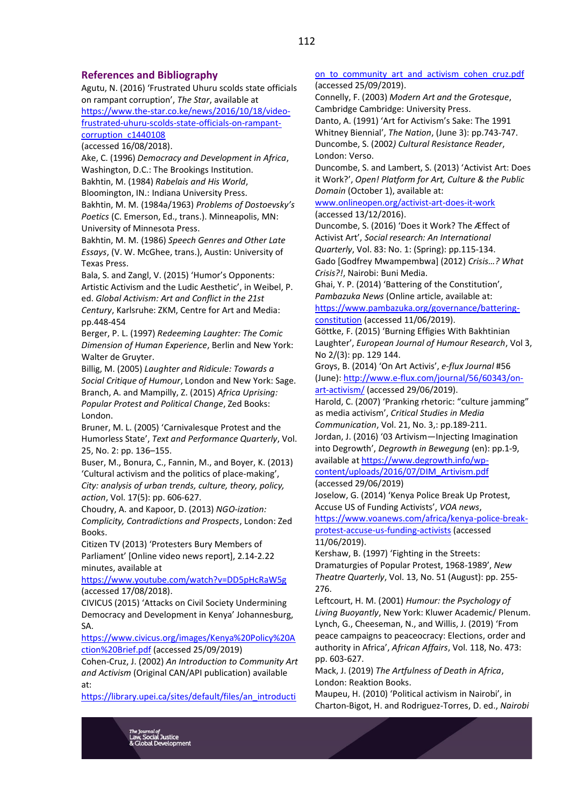# **References and Bibliography**

Agutu, N. (2016) 'Frustrated Uhuru scolds state officials on rampant corruption', *The Star*, available at [https://www.the-star.co.ke/news/2016/10/18/video](https://www.the-star.co.ke/news/2016/10/18/video-frustrated-uhuru-scolds-state-officials-on-rampant-corruption_c1440108)[frustrated-uhuru-scolds-state-officials-on-rampant-](https://www.the-star.co.ke/news/2016/10/18/video-frustrated-uhuru-scolds-state-officials-on-rampant-corruption_c1440108)

[corruption\\_c1440108](https://www.the-star.co.ke/news/2016/10/18/video-frustrated-uhuru-scolds-state-officials-on-rampant-corruption_c1440108)

(accessed 16/08/2018).

Ake, C. (1996) *Democracy and Development in Africa*, Washington, D.C.: The Brookings Institution.

Bakhtin, M. (1984) *Rabelais and His World*,

Bloomington, IN.: Indiana University Press.

Bakhtin, M. M. (1984a/1963) *Problems of Dostoevsky's Poetics* (C. Emerson, Ed., trans.). Minneapolis, MN: University of Minnesota Press.

Bakhtin, M. M. (1986) *Speech Genres and Other Late Essays*, (V. W. McGhee, trans.), Austin: University of Texas Press.

Bala, S. and Zangl, V. (2015) 'Humor's Opponents: Artistic Activism and the Ludic Aesthetic', in Weibel, P. ed. *Global Activism: Art and Conflict in the 21st Century*, Karlsruhe: ZKM, Centre for Art and Media: pp.448-454

Berger, P. L. (1997) *Redeeming Laughter: The Comic Dimension of Human Experience*, Berlin and New York: Walter de Gruyter.

Billig, M. (2005) *Laughter and Ridicule: Towards a Social Critique of Humour*, London and New York: Sage. Branch, A. and Mampilly, Z. (2015) *Africa Uprising: Popular Protest and Political Change*, Zed Books: London.

Bruner, M. L. (2005) 'Carnivalesque Protest and the Humorless State', *Text and Performance Quarterly*, Vol. 25, No. 2: pp. 136–155.

Buser, M., Bonura, C., Fannin, M., and Boyer, K. (2013) 'Cultural activism and the politics of place-making', *City: analysis of urban trends, culture, theory, policy, action*, Vol. 17(5): pp. 606-627.

Choudry, A. and Kapoor, D. (2013) *NGO-ization: Complicity, Contradictions and Prospects*, London: Zed Books.

Citizen TV (2013) 'Protesters Bury Members of Parliament' [Online video news report], 2.14-2.22 minutes, available at

<https://www.youtube.com/watch?v=DD5pHcRaW5g> (accessed 17/08/2018).

CIVICUS (2015) 'Attacks on Civil Society Undermining Democracy and Development in Kenya' Johannesburg, SA.

[https://www.civicus.org/images/Kenya%20Policy%20A](https://www.civicus.org/images/Kenya%20Policy%20Action%20Brief.pdf) [ction%20Brief.pdf](https://www.civicus.org/images/Kenya%20Policy%20Action%20Brief.pdf) (accessed 25/09/2019)

Cohen-Cruz, J. (2002) *An Introduction to Community Art and Activism* (Original CAN/API publication) available at:

[https://library.upei.ca/sites/default/files/an\\_introducti](https://library.upei.ca/sites/default/files/an_introduction_to_community_art_and_activism_cohen_cruz.pdf)

# on to community art and activism cohen cruz.pdf (accessed 25/09/2019).

Connelly, F. (2003) *Modern Art and the Grotesque*, Cambridge Cambridge: University Press. Danto, A. (1991) 'Art for Activism's Sake: The 1991 Whitney Biennial', *The Nation*, (June 3): pp.743-747. Duncombe, S. (2002*) Cultural Resistance Reader*, London: Verso.

Duncombe, S. and Lambert, S. (2013) 'Activist Art: Does it Work?', *Open! Platform for Art, Culture & the Public Domain* (October 1), available at:

[www.onlineopen.org/activist-art-does-it-work](http://www.onlineopen.org/activist-art-does-it-work) (accessed 13/12/2016).

Duncombe, S. (2016) 'Does it Work? The Æffect of Activist Art', *Social research: An International Quarterly*, Vol. 83: No. 1: (Spring): pp.115-134. Gado [Godfrey Mwampembwa] (2012) *Crisis…? What Crisis?!*, Nairobi: Buni Media.

Ghai, Y. P. (2014) 'Battering of the Constitution', *Pambazuka News* (Online article, available at: [https://www.pambazuka.org/governance/battering](https://www.pambazuka.org/governance/battering-constitution)[constitution](https://www.pambazuka.org/governance/battering-constitution) (accessed 11/06/2019).

Göttke, F. (2015) 'Burning Effigies With Bakhtinian Laughter', *European Journal of Humour Research*, Vol 3, No 2/(3): pp. 129 144.

Groys, B. (2014) 'On Art Activis', *e-flux Journal* #56 (June): [http://www.e-flux.com/journal/56/60343/on](http://www.e-flux.com/journal/56/60343/on-art-activism/)[art-activism/](http://www.e-flux.com/journal/56/60343/on-art-activism/) (accessed 29/06/2019).

Harold, C. (2007) 'Pranking rhetoric: "culture jamming" as media activism', *Critical Studies in Media Communication*, Vol. 21, No. 3,: pp.189-211.

Jordan, J. (2016) '03 Artivism—Injecting Imagination into Degrowth', *Degrowth in Bewegung* (en): pp.1-9,

available a[t https://www.degrowth.info/wp](https://www.degrowth.info/wp-content/uploads/2016/07/DIM_Artivism.pdf)[content/uploads/2016/07/DIM\\_Artivism.pdf](https://www.degrowth.info/wp-content/uploads/2016/07/DIM_Artivism.pdf) (accessed 29/06/2019)

Joselow, G. (2014) 'Kenya Police Break Up Protest, Accuse US of Funding Activists', *VOA news*,

[https://www.voanews.com/africa/kenya-police-break](https://www.voanews.com/africa/kenya-police-break-protest-accuse-us-funding-activists)[protest-accuse-us-funding-activists](https://www.voanews.com/africa/kenya-police-break-protest-accuse-us-funding-activists) (accessed 11/06/2019).

Kershaw, B. (1997) 'Fighting in the Streets: Dramaturgies of Popular Protest, 1968-1989', *New Theatre Quarterly*, Vol. 13, No. 51 (August): pp. 255- 276.

Leftcourt, H. M. (2001) *Humour: the Psychology of Living Buoyantly*, New York: Kluwer Academic/ Plenum. Lynch, G., Cheeseman, N., and Willis, J. (2019) 'From peace campaigns to peaceocracy: Elections, order and authority in Africa', *African Affairs*, Vol. 118, No. 473: pp. 603-627.

Mack, J. (2019) *The Artfulness of Death in Africa*, London: Reaktion Books.

Maupeu, H. (2010) 'Political activism in Nairobi', in Charton-Bigot, H. and Rodriguez-Torres, D. ed., *Nairobi*